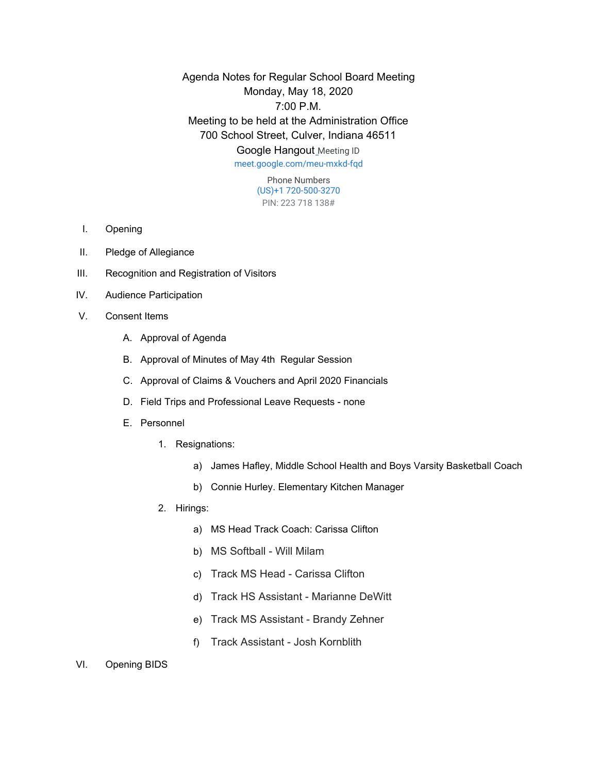Agenda Notes for Regular School Board Meeting Monday, May 18, 2020 7:00 P.M. Meeting to be held at the Administration Office 700 School Street, Culver, Indiana 46511 Google Hangout [M](http://meet.google.com/pjr-gvrv-vee)eeting ID [meet.google.com/meu-mxkd-fqd](https://meet.google.com/meu-mxkd-fqd?hs=122&authuser=0)

> Phone Numbers (US)+1 720-500-3270 PIN: 223 718 138#

- I. Opening
- II. Pledge of Allegiance
- III. Recognition and Registration of Visitors
- IV. Audience Participation
- V. Consent Items
	- A. Approval of Agenda
	- B. Approval of Minutes of May 4th Regular Session
	- C. Approval of Claims & Vouchers and April 2020 Financials
	- D. Field Trips and Professional Leave Requests none
	- E. Personnel
		- 1. Resignations:
			- a) James Hafley, Middle School Health and Boys Varsity Basketball Coach
			- b) Connie Hurley. Elementary Kitchen Manager
		- 2. Hirings:
			- a) MS Head Track Coach: Carissa Clifton
			- b) MS Softball Will Milam
			- c) Track MS Head Carissa Clifton
			- d) Track HS Assistant Marianne DeWitt
			- e) Track MS Assistant Brandy Zehner
			- f) Track Assistant Josh Kornblith
- VI. Opening BIDS